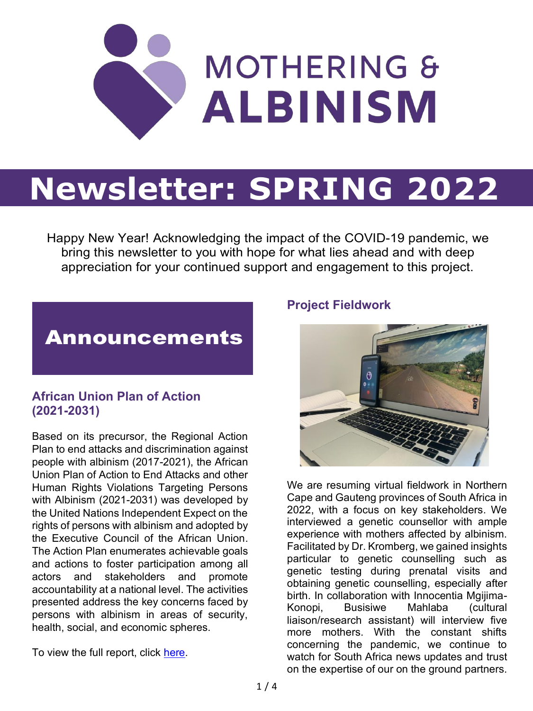

# **Newsletter: SPRING 2022**

Happy New Year! Acknowledging the impact of the COVID-19 pandemic, we bring this newsletter to you with hope for what lies ahead and with deep appreciation for your continued support and engagement to this project.

## Announcements

### **African Union Plan of Action (2021-2031)**

Based on its precursor, the Regional Action Plan to end attacks and discrimination against people with albinism (2017-2021), the African Union Plan of Action to End Attacks and other Human Rights Violations Targeting Persons with Albinism (2021-2031) was developed by the United Nations Independent Expect on the rights of persons with albinism and adopted by the Executive Council of the African Union. The Action Plan enumerates achievable goals and actions to foster participation among all actors and stakeholders and promote accountability at a national level. The activities presented address the key concerns faced by persons with albinism in areas of security, health, social, and economic spheres.

To view the full report, click [here.](https://actiononalbinism.org/page/sfj6gs7s8kjd5f6c6zyhw7b9)

#### **Project Fieldwork**



We are resuming virtual fieldwork in Northern Cape and Gauteng provinces of South Africa in 2022, with a focus on key stakeholders. We interviewed a genetic counsellor with ample experience with mothers affected by albinism. Facilitated by Dr. Kromberg, we gained insights particular to genetic counselling such as genetic testing during prenatal visits and obtaining genetic counselling, especially after birth. In collaboration with Innocentia Mgijima-Konopi, Busisiwe Mahlaba (cultural liaison/research assistant) will interview five more mothers. With the constant shifts concerning the pandemic, we continue to watch for South Africa news updates and trust on the expertise of our on the ground partners.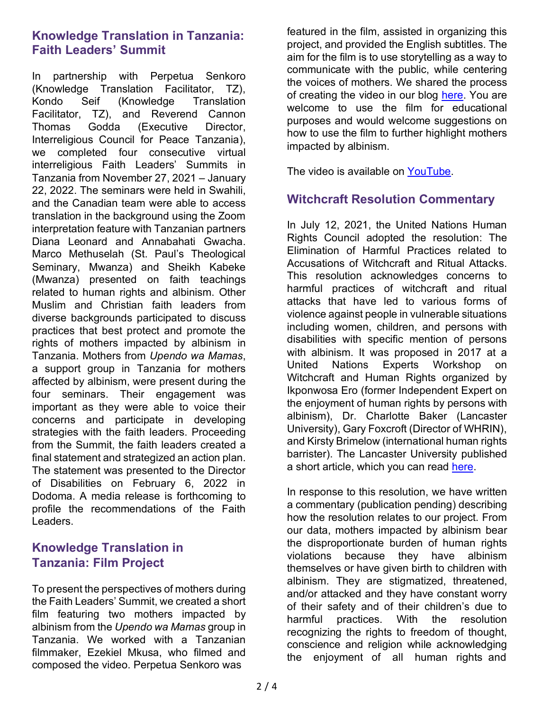#### **Knowledge Translation in Tanzania: Faith Leaders' Summit**

In partnership with Perpetua Senkoro (Knowledge Translation Facilitator, TZ), Kondo Seif (Knowledge Translation Facilitator, TZ), and Reverend Cannon Thomas Godda (Executive Director, Interreligious Council for Peace Tanzania), we completed four consecutive virtual interreligious Faith Leaders' Summits in Tanzania from November 27, 2021 - January 22, 2022. The seminars were held in Swahili, and the Canadian team were able to access translation in the background using the Zoom interpretation feature with Tanzanian partners Diana Leonard and Annabahati Gwacha. Marco Methuselah (St. Paul's Theological Seminary, Mwanza) and Sheikh Kabeke (Mwanza) presented on faith teachings related to human rights and albinism. Other Muslim and Christian faith leaders from diverse backgrounds participated to discuss practices that best protect and promote the rights of mothers impacted by albinism in Tanzania. Mothers from *Upendo wa Mamas*, a support group in Tanzania for mothers affected by albinism, were present during the four seminars. Their engagement was important as they were able to voice their concerns and participate in developing strategies with the faith leaders. Proceeding from the Summit, the faith leaders created a final statement and strategized an action plan. The statement was presented to the Director of Disabilities on February 6, 2022 in Dodoma. A media release is forthcoming to profile the recommendations of the Faith Leaders.

#### **Knowledge Translation in Tanzania: Film Project**

To present the perspectives of mothers during the Faith Leaders' Summit, we created a short film featuring two mothers impacted by albinism from the *Upendo wa Mamas* group in Tanzania. We worked with a Tanzanian filmmaker, Ezekiel Mkusa, who filmed and composed the video. Perpetua Senkoro was

featured in the film, assisted in organizing this project, and provided the English subtitles. The aim for the film is to use storytelling as a way to communicate with the public, while centering the voices of mothers. We shared the process of creating the video in our blog [here.](https://motheringandalbinism.com/2022/01/21/a-storytelling-film-project-to-centre-the-voices-of-tanzanian-mothers-impacted-by-albinism/) You are welcome to use the film for educational purposes and would welcome suggestions on how to use the film to further highlight mothers impacted by albinism.

The video is available on [YouTube.](https://www.youtube.com/watch?v=6TBnBgsm6Bs)

### **Witchcraft Resolution Commentary**

In July 12, 2021, the United Nations Human Rights Council adopted the resolution: The Elimination of Harmful Practices related to Accusations of Witchcraft and Ritual Attacks. This resolution acknowledges concerns to harmful practices of witchcraft and ritual attacks that have led to various forms of violence against people in vulnerable situations including women, children, and persons with disabilities with specific mention of persons with albinism. It was proposed in 2017 at a United Nations Experts Workshop on Witchcraft and Human Rights organized by Ikponwosa Ero (former Independent Expert on the enjoyment of human rights by persons with albinism), Dr. Charlotte Baker (Lancaster University), Gary Foxcroft (Director of WHRIN), and Kirsty Brimelow (international human rights barrister). The Lancaster University published a short article, which you can read [here.](https://www.lancaster.ac.uk/news/lancaster-university-secures-historic-united-nations-resolution-to-stamp-out-witchcraft-atrocities-1)

In response to this resolution, we have written a commentary (publication pending) describing how the resolution relates to our project. From our data, mothers impacted by albinism bear the disproportionate burden of human rights violations because they have albinism themselves or have given birth to children with albinism. They are stigmatized, threatened, and/or attacked and they have constant worry of their safety and of their children's due to harmful practices. With the resolution recognizing the rights to freedom of thought, conscience and religion while acknowledging the enjoyment of all human rights and